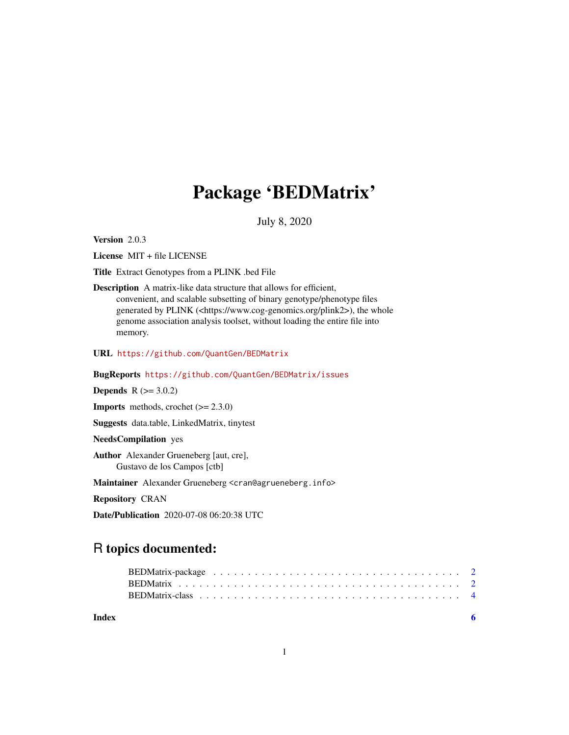## Package 'BEDMatrix'

July 8, 2020

<span id="page-0-0"></span>Version 2.0.3

License MIT + file LICENSE

Title Extract Genotypes from a PLINK .bed File

Description A matrix-like data structure that allows for efficient, convenient, and scalable subsetting of binary genotype/phenotype files generated by PLINK (<https://www.cog-genomics.org/plink2>), the whole genome association analysis toolset, without loading the entire file into memory.

URL <https://github.com/QuantGen/BEDMatrix>

BugReports <https://github.com/QuantGen/BEDMatrix/issues>

**Depends** R  $(>= 3.0.2)$ 

**Imports** methods, crochet  $(>= 2.3.0)$ 

Suggests data.table, LinkedMatrix, tinytest

NeedsCompilation yes

Author Alexander Grueneberg [aut, cre], Gustavo de los Campos [ctb]

Maintainer Alexander Grueneberg <cran@agrueneberg.info>

Repository CRAN

Date/Publication 2020-07-08 06:20:38 UTC

### R topics documented:

1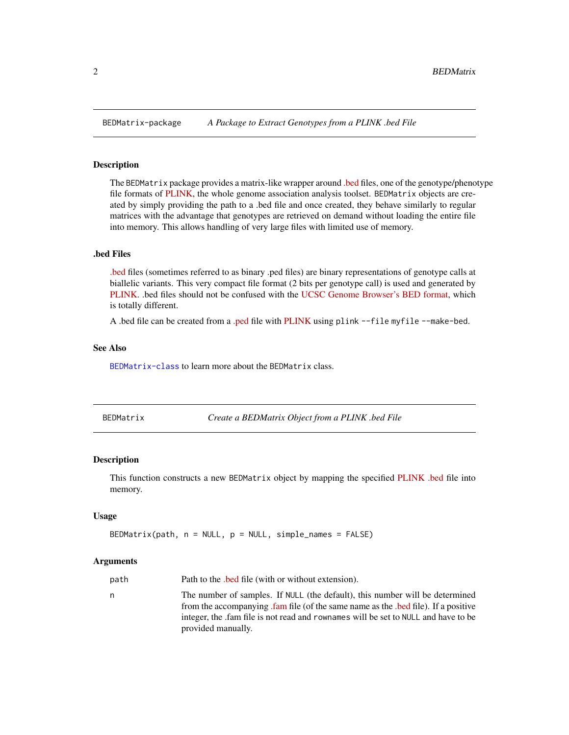#### Description

The BEDMatrix package provides a matrix-like wrapper around [.bed](https://www.cog-genomics.org/plink2/formats#bed) files, one of the genotype/phenotype file formats of [PLINK,](https://www.cog-genomics.org/plink2) the whole genome association analysis toolset. BEDMatrix objects are created by simply providing the path to a .bed file and once created, they behave similarly to regular matrices with the advantage that genotypes are retrieved on demand without loading the entire file into memory. This allows handling of very large files with limited use of memory.

#### .bed Files

[.bed](https://www.cog-genomics.org/plink2/formats#bed) files (sometimes referred to as binary .ped files) are binary representations of genotype calls at biallelic variants. This very compact file format (2 bits per genotype call) is used and generated by [PLINK.](https://www.cog-genomics.org/plink2/) .bed files should not be confused with the [UCSC Genome Browser's BED format,](https://genome.ucsc.edu/FAQ/FAQformat.html#format1) which is totally different.

A .bed file can be created from a [.ped](https://www.cog-genomics.org/plink2/formats#ped) file with [PLINK](https://www.cog-genomics.org/plink2) using plink --file myfile --make-bed.

#### See Also

[BEDMatrix-class](#page-3-1) to learn more about the BEDMatrix class.

<span id="page-1-2"></span>

|  | BEDMatrix |
|--|-----------|
|  |           |

BEDMatrix *Create a BEDMatrix Object from a PLINK .bed File*

#### Description

This function constructs a new BEDMatrix object by mapping the specified [PLINK .bed](https://www.cog-genomics.org/plink2/formats#bed) file into memory.

#### Usage

```
BEDMatrix(path, n = NULL, p = NULL, simple\_names = FALSE)
```
#### Arguments

| path | Path to the bed file (with or without extension).                                                                                                                                                                                                                           |
|------|-----------------------------------------------------------------------------------------------------------------------------------------------------------------------------------------------------------------------------------------------------------------------------|
| n    | The number of samples. If NULL (the default), this number will be determined<br>from the accompanying fam file (of the same name as the bed file). If a positive<br>integer, the fam file is not read and rownames will be set to NULL and have to be<br>provided manually. |
|      |                                                                                                                                                                                                                                                                             |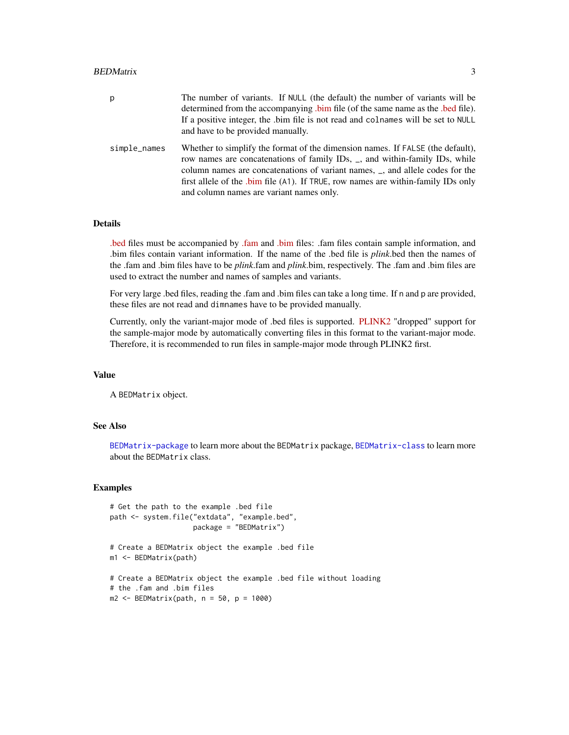#### BEDMatrix 3

| p            | The number of variants. If NULL (the default) the number of variants will be<br>determined from the accompanying bim file (of the same name as the bed file).<br>If a positive integer, the .bim file is not read and colnames will be set to NULL<br>and have to be provided manually.                                                                                         |
|--------------|---------------------------------------------------------------------------------------------------------------------------------------------------------------------------------------------------------------------------------------------------------------------------------------------------------------------------------------------------------------------------------|
| simple_names | Whether to simplify the format of the dimension names. If FALSE (the default),<br>row names are concatenations of family IDs, _, and within-family IDs, while<br>column names are concatenations of variant names, _, and allele codes for the<br>first allele of the .bim file (A1). If TRUE, row names are within-family IDs only<br>and column names are variant names only. |

#### Details

[.bed](https://www.cog-genomics.org/plink2/formats#bed) files must be accompanied by [.fam](https://www.cog-genomics.org/plink2/formats#fam) and [.bim](https://www.cog-genomics.org/plink2/formats#bim) files: .fam files contain sample information, and .bim files contain variant information. If the name of the .bed file is *plink*.bed then the names of the .fam and .bim files have to be *plink*.fam and *plink*.bim, respectively. The .fam and .bim files are used to extract the number and names of samples and variants.

For very large .bed files, reading the .fam and .bim files can take a long time. If n and p are provided, these files are not read and dimnames have to be provided manually.

Currently, only the variant-major mode of .bed files is supported. [PLINK2](https://www.cog-genomics.org/plink2/) "dropped" support for the sample-major mode by automatically converting files in this format to the variant-major mode. Therefore, it is recommended to run files in sample-major mode through PLINK2 first.

#### Value

A BEDMatrix object.

#### See Also

[BEDMatrix-package](#page-1-1) to learn more about the BEDMatrix package, [BEDMatrix-class](#page-3-1) to learn more about the BEDMatrix class.

#### Examples

```
# Get the path to the example .bed file
path <- system.file("extdata", "example.bed",
                    package = "BEDMatrix")
# Create a BEDMatrix object the example .bed file
m1 <- BEDMatrix(path)
# Create a BEDMatrix object the example .bed file without loading
# the .fam and .bim files
m2 < - BEDMatrix(path, n = 50, p = 1000)
```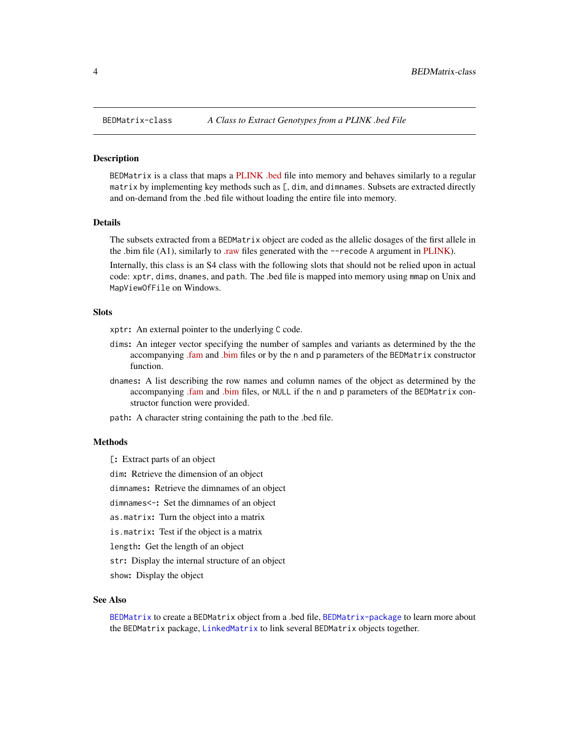<span id="page-3-1"></span><span id="page-3-0"></span>

#### Description

BEDMatrix is a class that maps a [PLINK .bed](https://www.cog-genomics.org/plink2/formats#bed) file into memory and behaves similarly to a regular matrix by implementing key methods such as [, dim, and dimnames. Subsets are extracted directly and on-demand from the .bed file without loading the entire file into memory.

#### Details

The subsets extracted from a BEDMatrix object are coded as the allelic dosages of the first allele in the .bim file  $(A1)$ , similarly to [.raw](https://www.cog-genomics.org/plink2/formats#raw) files generated with the  $-\text{recode A argument}$  in [PLINK\)](https://www.cog-genomics.org/plink2/).

Internally, this class is an S4 class with the following slots that should not be relied upon in actual code: xptr, dims, dnames, and path. The .bed file is mapped into memory using mmap on Unix and MapViewOfFile on Windows.

#### **Slots**

xptr: An external pointer to the underlying C code.

- dims: An integer vector specifying the number of samples and variants as determined by the the accompanying [.fam](https://www.cog-genomics.org/plink2/formats#fam) and [.bim](https://www.cog-genomics.org/plink2/formats#bim) files or by the n and p parameters of the BEDMatrix constructor function.
- dnames: A list describing the row names and column names of the object as determined by the accompanying [.fam](https://www.cog-genomics.org/plink2/formats#fam) and [.bim](https://www.cog-genomics.org/plink2/formats#bim) files, or NULL if the n and p parameters of the BEDMatrix constructor function were provided.
- path: A character string containing the path to the .bed file.

#### **Methods**

[: Extract parts of an object

dim: Retrieve the dimension of an object

dimnames: Retrieve the dimnames of an object

dimnames<-: Set the dimnames of an object

as.matrix: Turn the object into a matrix

is.matrix: Test if the object is a matrix

length: Get the length of an object

str: Display the internal structure of an object

show: Display the object

#### See Also

[BEDMatrix](#page-1-2) to create a BEDMatrix object from a .bed file, [BEDMatrix-package](#page-1-1) to learn more about the BEDMatrix package, [LinkedMatrix](#page-0-0) to link several BEDMatrix objects together.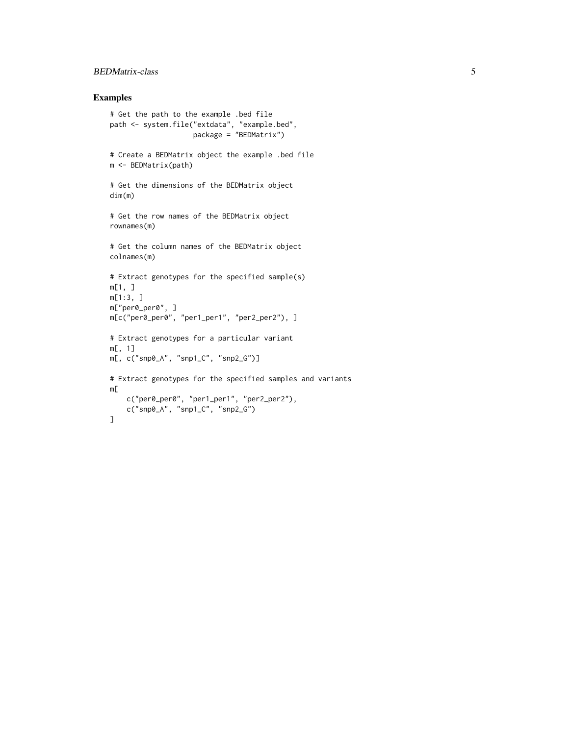#### BEDMatrix-class 5

#### Examples

```
# Get the path to the example .bed file
path <- system.file("extdata", "example.bed",
                    package = "BEDMatrix")
# Create a BEDMatrix object the example .bed file
m <- BEDMatrix(path)
# Get the dimensions of the BEDMatrix object
dim(m)
# Get the row names of the BEDMatrix object
rownames(m)
# Get the column names of the BEDMatrix object
colnames(m)
# Extract genotypes for the specified sample(s)
m[1, ]
m[1:3, ]
m["per0_per0", ]
m[c("per0_per0", "per1_per1", "per2_per2"), ]
# Extract genotypes for a particular variant
m[, 1]
m[, c("snp0_A", "snp1_C", "snp2_G")]
# Extract genotypes for the specified samples and variants
m[
    c("per0_per0", "per1_per1", "per2_per2"),
    c("snp0_A", "snp1_C", "snp2_G")
]
```